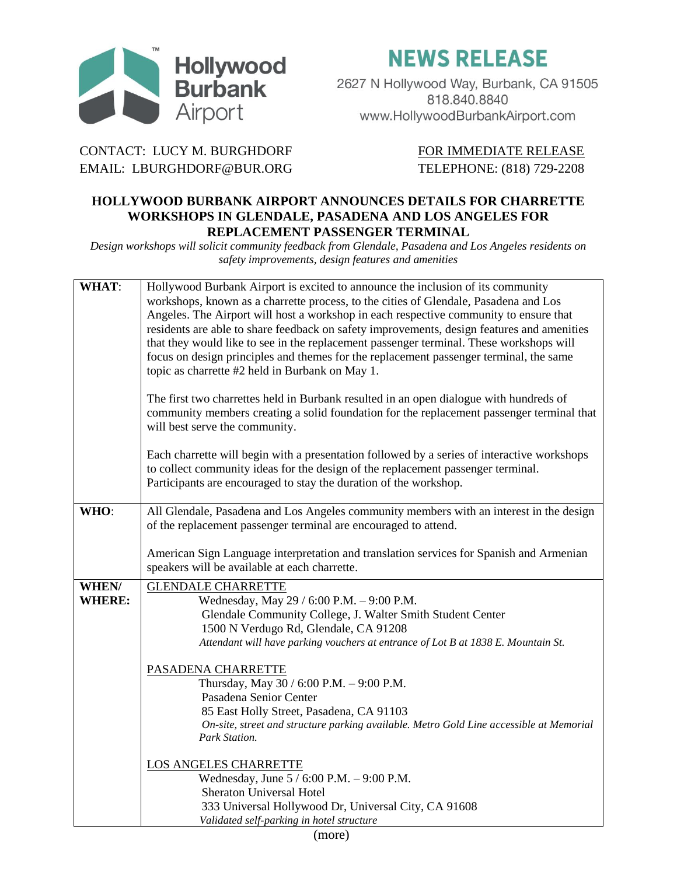

## **NEWS RELEASE**

2627 N Hollywood Way, Burbank, CA 91505 818.840.8840 www.HollywoodBurbankAirport.com

## CONTACT: LUCY M. BURGHDORF FOR IMMEDIATE RELEASE EMAIL: LBURGHDORF@BUR.ORG TELEPHONE: (818) 729-2208

## **HOLLYWOOD BURBANK AIRPORT ANNOUNCES DETAILS FOR CHARRETTE WORKSHOPS IN GLENDALE, PASADENA AND LOS ANGELES FOR REPLACEMENT PASSENGER TERMINAL**

*Design workshops will solicit community feedback from Glendale, Pasadena and Los Angeles residents on safety improvements, design features and amenities*

| <b>WHAT:</b>                  | Hollywood Burbank Airport is excited to announce the inclusion of its community<br>workshops, known as a charrette process, to the cities of Glendale, Pasadena and Los<br>Angeles. The Airport will host a workshop in each respective community to ensure that<br>residents are able to share feedback on safety improvements, design features and amenities<br>that they would like to see in the replacement passenger terminal. These workshops will<br>focus on design principles and themes for the replacement passenger terminal, the same<br>topic as charrette #2 held in Burbank on May 1. |
|-------------------------------|--------------------------------------------------------------------------------------------------------------------------------------------------------------------------------------------------------------------------------------------------------------------------------------------------------------------------------------------------------------------------------------------------------------------------------------------------------------------------------------------------------------------------------------------------------------------------------------------------------|
|                               | The first two charrettes held in Burbank resulted in an open dialogue with hundreds of<br>community members creating a solid foundation for the replacement passenger terminal that<br>will best serve the community.                                                                                                                                                                                                                                                                                                                                                                                  |
|                               | Each charrette will begin with a presentation followed by a series of interactive workshops<br>to collect community ideas for the design of the replacement passenger terminal.<br>Participants are encouraged to stay the duration of the workshop.                                                                                                                                                                                                                                                                                                                                                   |
| WHO:                          | All Glendale, Pasadena and Los Angeles community members with an interest in the design<br>of the replacement passenger terminal are encouraged to attend.                                                                                                                                                                                                                                                                                                                                                                                                                                             |
|                               | American Sign Language interpretation and translation services for Spanish and Armenian<br>speakers will be available at each charrette.                                                                                                                                                                                                                                                                                                                                                                                                                                                               |
| <b>WHEN/</b><br><b>WHERE:</b> | <b>GLENDALE CHARRETTE</b><br>Wednesday, May 29 / 6:00 P.M. - 9:00 P.M.<br>Glendale Community College, J. Walter Smith Student Center<br>1500 N Verdugo Rd, Glendale, CA 91208<br>Attendant will have parking vouchers at entrance of Lot B at 1838 E. Mountain St.<br>PASADENA CHARRETTE<br>Thursday, May 30 / 6:00 P.M. - 9:00 P.M.<br>Pasadena Senior Center<br>85 East Holly Street, Pasadena, CA 91103<br>On-site, street and structure parking available. Metro Gold Line accessible at Memorial<br>Park Station.                                                                                 |
|                               | LOS ANGELES CHARRETTE<br>Wednesday, June $5/6:00$ P.M. $-9:00$ P.M.<br><b>Sheraton Universal Hotel</b><br>333 Universal Hollywood Dr, Universal City, CA 91608<br>Validated self-parking in hotel structure                                                                                                                                                                                                                                                                                                                                                                                            |

(more)